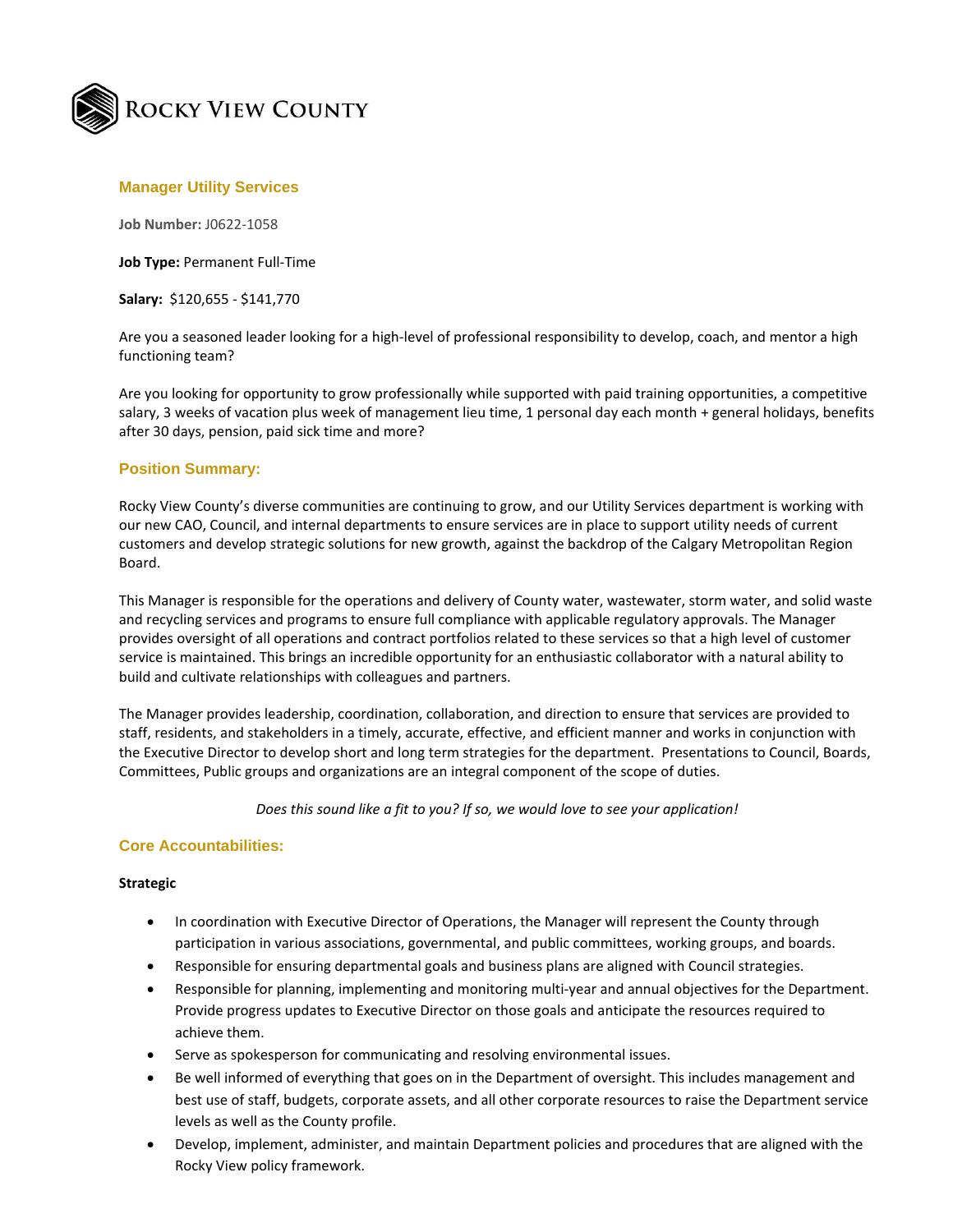

## **Manager Utility Services**

**Job Number:** J0622-1058

**Job Type:** Permanent Full-Time

**Salary:** \$120,655 - \$141,770

Are you a seasoned leader looking for a high-level of professional responsibility to develop, coach, and mentor a high functioning team?

Are you looking for opportunity to grow professionally while supported with paid training opportunities, a competitive salary, 3 weeks of vacation plus week of management lieu time, 1 personal day each month + general holidays, benefits after 30 days, pension, paid sick time and more?

#### **Position Summary:**

Rocky View County's diverse communities are continuing to grow, and our Utility Services department is working with our new CAO, Council, and internal departments to ensure services are in place to support utility needs of current customers and develop strategic solutions for new growth, against the backdrop of the Calgary Metropolitan Region Board.

This Manager is responsible for the operations and delivery of County water, wastewater, storm water, and solid waste and recycling services and programs to ensure full compliance with applicable regulatory approvals. The Manager provides oversight of all operations and contract portfolios related to these services so that a high level of customer service is maintained. This brings an incredible opportunity for an enthusiastic collaborator with a natural ability to build and cultivate relationships with colleagues and partners.

The Manager provides leadership, coordination, collaboration, and direction to ensure that services are provided to staff, residents, and stakeholders in a timely, accurate, effective, and efficient manner and works in conjunction with the Executive Director to develop short and long term strategies for the department. Presentations to Council, Boards, Committees, Public groups and organizations are an integral component of the scope of duties.

*Does this sound like a fit to you? If so, we would love to see your application!*

### **Core Accountabilities:**

#### **Strategic**

- In coordination with Executive Director of Operations, the Manager will represent the County through participation in various associations, governmental, and public committees, working groups, and boards.
- Responsible for ensuring departmental goals and business plans are aligned with Council strategies.
- Responsible for planning, implementing and monitoring multi-year and annual objectives for the Department. Provide progress updates to Executive Director on those goals and anticipate the resources required to achieve them.
- Serve as spokesperson for communicating and resolving environmental issues.
- Be well informed of everything that goes on in the Department of oversight. This includes management and best use of staff, budgets, corporate assets, and all other corporate resources to raise the Department service levels as well as the County profile.
- Develop, implement, administer, and maintain Department policies and procedures that are aligned with the Rocky View policy framework.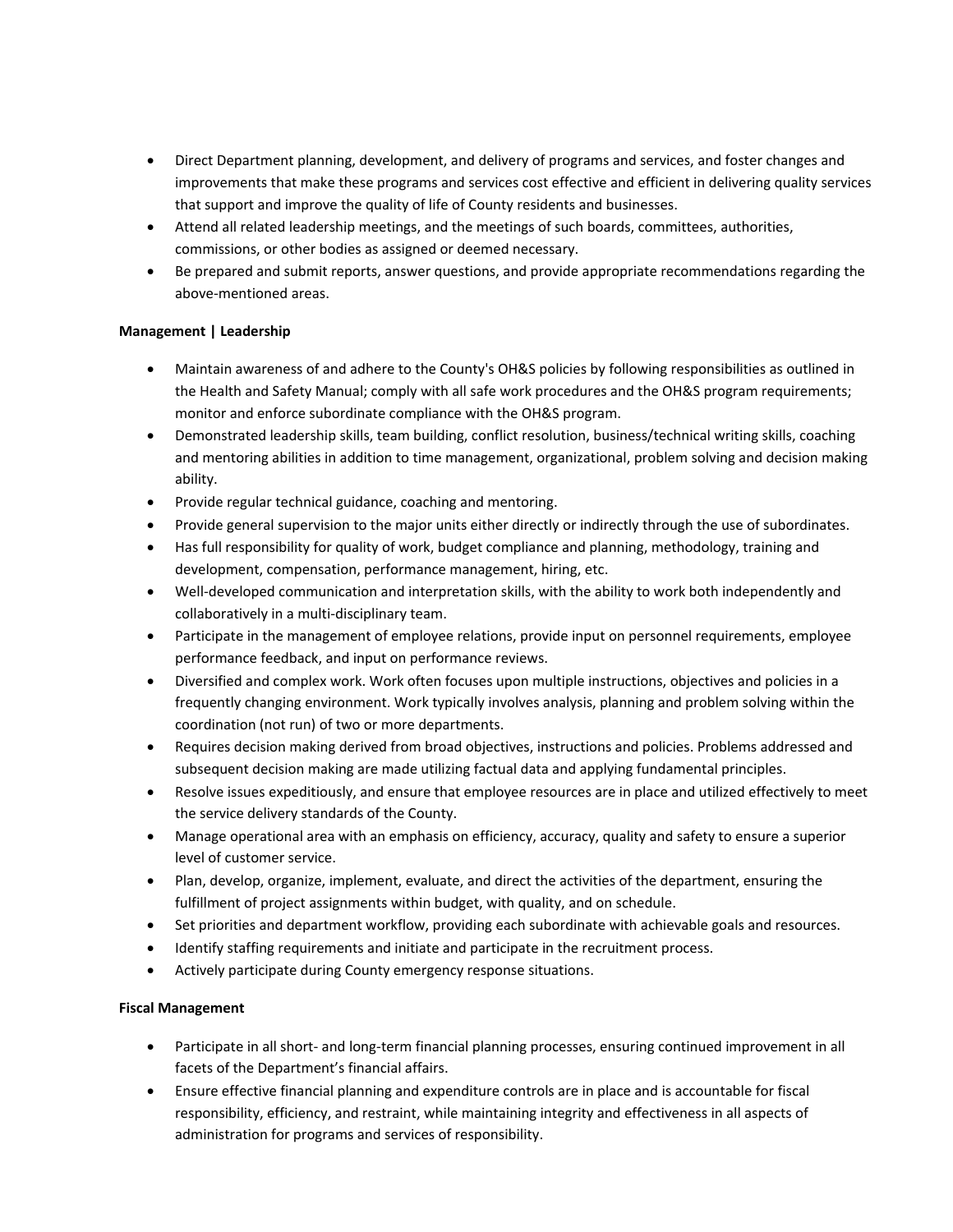- Direct Department planning, development, and delivery of programs and services, and foster changes and improvements that make these programs and services cost effective and efficient in delivering quality services that support and improve the quality of life of County residents and businesses.
- Attend all related leadership meetings, and the meetings of such boards, committees, authorities, commissions, or other bodies as assigned or deemed necessary.
- Be prepared and submit reports, answer questions, and provide appropriate recommendations regarding the above-mentioned areas.

## **Management | Leadership**

- Maintain awareness of and adhere to the County's OH&S policies by following responsibilities as outlined in the Health and Safety Manual; comply with all safe work procedures and the OH&S program requirements; monitor and enforce subordinate compliance with the OH&S program.
- Demonstrated leadership skills, team building, conflict resolution, business/technical writing skills, coaching and mentoring abilities in addition to time management, organizational, problem solving and decision making ability.
- Provide regular technical guidance, coaching and mentoring.
- Provide general supervision to the major units either directly or indirectly through the use of subordinates.
- Has full responsibility for quality of work, budget compliance and planning, methodology, training and development, compensation, performance management, hiring, etc.
- Well-developed communication and interpretation skills, with the ability to work both independently and collaboratively in a multi-disciplinary team.
- Participate in the management of employee relations, provide input on personnel requirements, employee performance feedback, and input on performance reviews.
- Diversified and complex work. Work often focuses upon multiple instructions, objectives and policies in a frequently changing environment. Work typically involves analysis, planning and problem solving within the coordination (not run) of two or more departments.
- Requires decision making derived from broad objectives, instructions and policies. Problems addressed and subsequent decision making are made utilizing factual data and applying fundamental principles.
- Resolve issues expeditiously, and ensure that employee resources are in place and utilized effectively to meet the service delivery standards of the County.
- Manage operational area with an emphasis on efficiency, accuracy, quality and safety to ensure a superior level of customer service.
- Plan, develop, organize, implement, evaluate, and direct the activities of the department, ensuring the fulfillment of project assignments within budget, with quality, and on schedule.
- Set priorities and department workflow, providing each subordinate with achievable goals and resources.
- Identify staffing requirements and initiate and participate in the recruitment process.
- Actively participate during County emergency response situations.

# **Fiscal Management**

- Participate in all short- and long-term financial planning processes, ensuring continued improvement in all facets of the Department's financial affairs.
- Ensure effective financial planning and expenditure controls are in place and is accountable for fiscal responsibility, efficiency, and restraint, while maintaining integrity and effectiveness in all aspects of administration for programs and services of responsibility.